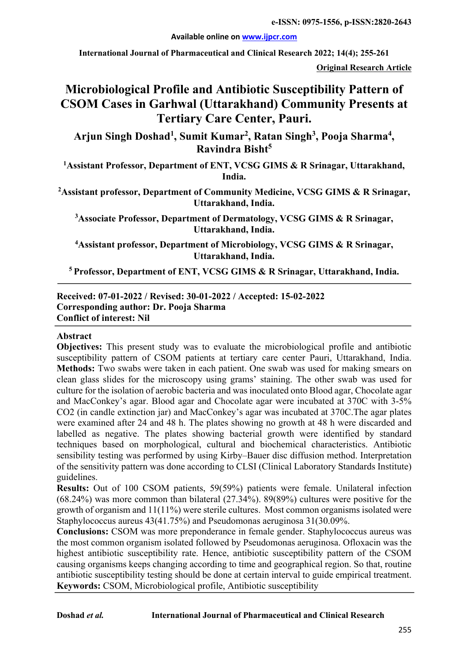**Available online on www.ijpcr.com**

**International Journal of Pharmaceutical and Clinical Research 2022; 14(4); 255-261**

**Original Research Article**

# **Microbiological Profile and Antibiotic Susceptibility Pattern of CSOM Cases in Garhwal (Uttarakhand) Community Presents at Tertiary Care Center, Pauri.**

**Arjun Singh Doshad1 , Sumit Kumar2 , Ratan Singh3 , Pooja Sharma4 , Ravindra Bisht5**

<sup>1</sup> Assistant Professor, Department of ENT, VCSG GIMS & R Srinagar, Uttarakhand, **India.**

**2 Assistant professor, Department of Community Medicine, VCSG GIMS & R Srinagar, Uttarakhand, India.**

**3 Associate Professor, Department of Dermatology, VCSG GIMS & R Srinagar, Uttarakhand, India.**

**4 Assistant professor, Department of Microbiology, VCSG GIMS & R Srinagar, Uttarakhand, India.**

**5 Professor, Department of ENT, VCSG GIMS & R Srinagar, Uttarakhand, India.**

#### **Received: 07-01-2022 / Revised: 30-01-2022 / Accepted: 15-02-2022 Corresponding author: Dr. Pooja Sharma Conflict of interest: Nil**

#### **Abstract**

**Objectives:** This present study was to evaluate the microbiological profile and antibiotic susceptibility pattern of CSOM patients at tertiary care center Pauri, Uttarakhand, India. **Methods:** Two swabs were taken in each patient. One swab was used for making smears on clean glass slides for the microscopy using grams' staining. The other swab was used for culture for the isolation of aerobic bacteria and was inoculated onto Blood agar, Chocolate agar and MacConkey's agar. Blood agar and Chocolate agar were incubated at 370C with 3-5% CO2 (in candle extinction jar) and MacConkey's agar was incubated at 370C.The agar plates were examined after 24 and 48 h. The plates showing no growth at 48 h were discarded and labelled as negative. The plates showing bacterial growth were identified by standard techniques based on morphological, cultural and biochemical characteristics. Antibiotic sensibility testing was performed by using Kirby–Bauer disc diffusion method. Interpretation of the sensitivity pattern was done according to CLSI (Clinical Laboratory Standards Institute) guidelines.

**Results:** Out of 100 CSOM patients, 59(59%) patients were female. Unilateral infection  $(68.24\%)$  was more common than bilateral  $(27.34\%)$ . 89 $(89\%)$  cultures were positive for the growth of organism and 11(11%) were sterile cultures. Most common organisms isolated were Staphylococcus aureus 43(41.75%) and Pseudomonas aeruginosa 31(30.09%.

**Conclusions:** CSOM was more preponderance in female gender. Staphylococcus aureus was the most common organism isolated followed by Pseudomonas aeruginosa. Ofloxacin was the highest antibiotic susceptibility rate. Hence, antibiotic susceptibility pattern of the CSOM causing organisms keeps changing according to time and geographical region. So that, routine antibiotic susceptibility testing should be done at certain interval to guide empirical treatment. **Keywords:** CSOM, Microbiological profile, Antibiotic susceptibility

#### **Doshad** *et al.* **International Journal of Pharmaceutical and Clinical Research**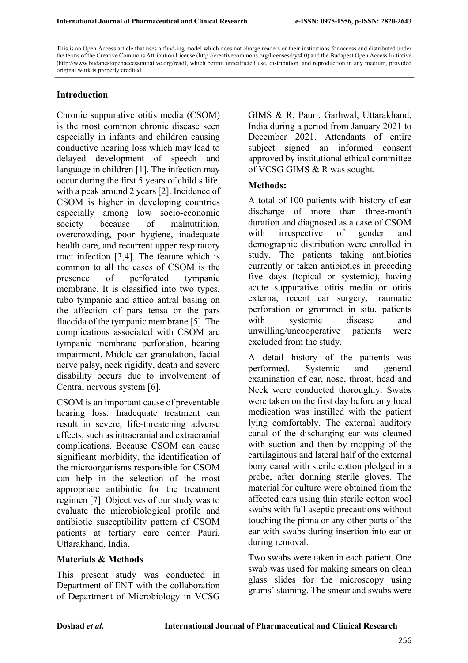This is an Open Access article that uses a fund-ing model which does not charge readers or their institutions for access and distributed under the terms of the Creative Commons Attribution License (http://creativecommons.org/licenses/by/4.0) and the Budapest Open Access Initiative (http://www.budapestopenaccessinitiative.org/read), which permit unrestricted use, distribution, and reproduction in any medium, provided original work is properly credited.

#### **Introduction**

Chronic suppurative otitis media (CSOM) is the most common chronic disease seen especially in infants and children causing conductive hearing loss which may lead to delayed development of speech and language in children [1]. The infection may occur during the first 5 years of child s life, with a peak around 2 years [2]. Incidence of CSOM is higher in developing countries especially among low socio-economic society because of malnutrition, overcrowding, poor hygiene, inadequate health care, and recurrent upper respiratory tract infection [3,4]. The feature which is common to all the cases of CSOM is the presence of perforated tympanic membrane. It is classified into two types, tubo tympanic and attico antral basing on the affection of pars tensa or the pars flaccida of the tympanic membrane [5]. The complications associated with CSOM are tympanic membrane perforation, hearing impairment, Middle ear granulation, facial nerve palsy, neck rigidity, death and severe disability occurs due to involvement of Central nervous system [6].

CSOM is an important cause of preventable hearing loss. Inadequate treatment can result in severe, life-threatening adverse effects, such as intracranial and extracranial complications. Because CSOM can cause significant morbidity, the identification of the microorganisms responsible for CSOM can help in the selection of the most appropriate antibiotic for the treatment regimen [7]. Objectives of our study was to evaluate the microbiological profile and antibiotic susceptibility pattern of CSOM patients at tertiary care center Pauri, Uttarakhand, India.

#### **Materials & Methods**

This present study was conducted in Department of ENT with the collaboration of Department of Microbiology in VCSG

GIMS & R, Pauri, Garhwal, Uttarakhand, India during a period from January 2021 to December 2021. Attendants of entire subject signed an informed consent approved by institutional ethical committee of VCSG GIMS & R was sought.

#### **Methods:**

A total of 100 patients with history of ear discharge of more than three-month duration and diagnosed as a case of CSOM with irrespective of gender and demographic distribution were enrolled in study. The patients taking antibiotics currently or taken antibiotics in preceding five days (topical or systemic), having acute suppurative otitis media or otitis externa, recent ear surgery, traumatic perforation or grommet in situ, patients with systemic disease and unwilling/uncooperative patients were excluded from the study.

A detail history of the patients was performed. Systemic and general examination of ear, nose, throat, head and Neck were conducted thoroughly. Swabs were taken on the first day before any local medication was instilled with the patient lying comfortably. The external auditory canal of the discharging ear was cleaned with suction and then by mopping of the cartilaginous and lateral half of the external bony canal with sterile cotton pledged in a probe, after donning sterile gloves. The material for culture were obtained from the affected ears using thin sterile cotton wool swabs with full aseptic precautions without touching the pinna or any other parts of the ear with swabs during insertion into ear or during removal.

Two swabs were taken in each patient. One swab was used for making smears on clean glass slides for the microscopy using grams' staining. The smear and swabs were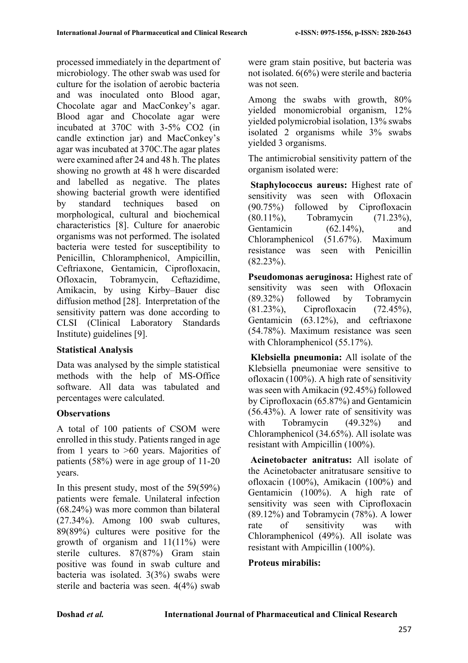processed immediately in the department of microbiology. The other swab was used for culture for the isolation of aerobic bacteria and was inoculated onto Blood agar, Chocolate agar and MacConkey's agar. Blood agar and Chocolate agar were incubated at 370C with 3-5% CO2 (in candle extinction jar) and MacConkey's agar was incubated at 370C.The agar plates were examined after 24 and 48 h. The plates showing no growth at 48 h were discarded and labelled as negative. The plates showing bacterial growth were identified by standard techniques based on morphological, cultural and biochemical characteristics [8]. Culture for anaerobic organisms was not performed. The isolated bacteria were tested for susceptibility to Penicillin, Chloramphenicol, Ampicillin, Ceftriaxone, Gentamicin, Ciprofloxacin, Ofloxacin, Tobramycin, Ceftazidime, Amikacin, by using Kirby–Bauer disc diffusion method [28]. Interpretation of the sensitivity pattern was done according to CLSI (Clinical Laboratory Standards Institute) guidelines [9].

# **Statistical Analysis**

Data was analysed by the simple statistical methods with the help of MS-Office software. All data was tabulated and percentages were calculated.

# **Observations**

A total of 100 patients of CSOM were enrolled in this study. Patients ranged in age from 1 years to >60 years. Majorities of patients (58%) were in age group of 11-20 years.

In this present study, most of the 59(59%) patients were female. Unilateral infection (68.24%) was more common than bilateral (27.34%). Among 100 swab cultures, 89(89%) cultures were positive for the growth of organism and 11(11%) were sterile cultures. 87(87%) Gram stain positive was found in swab culture and bacteria was isolated. 3(3%) swabs were sterile and bacteria was seen. 4(4%) swab

were gram stain positive, but bacteria was not isolated. 6(6%) were sterile and bacteria was not seen.

Among the swabs with growth, 80% yielded monomicrobial organism, 12% yielded polymicrobial isolation, 13% swabs isolated 2 organisms while 3% swabs yielded 3 organisms.

The antimicrobial sensitivity pattern of the organism isolated were:

**Staphylococcus aureus:** Highest rate of sensitivity was seen with Ofloxacin (90.75%) followed by Ciprofloxacin (80.11%), Tobramycin (71.23%), Gentamicin (62.14%), and Chloramphenicol (51.67%). Maximum resistance was seen with Penicillin (82.23%).

**Pseudomonas aeruginosa:** Highest rate of sensitivity was seen with Ofloxacin (89.32%) followed by Tobramycin (81.23%), Ciprofloxacin (72.45%), Gentamicin (63.12%), and ceftriaxone (54.78%). Maximum resistance was seen with Chloramphenicol (55.17%).

**Klebsiella pneumonia:** All isolate of the Klebsiella pneumoniae were sensitive to ofloxacin (100%). A high rate of sensitivity was seen with Amikacin (92.45%) followed by Ciprofloxacin (65.87%) and Gentamicin (56.43%). A lower rate of sensitivity was with Tobramycin (49.32%) and Chloramphenicol (34.65%). All isolate was resistant with Ampicillin (100%).

**Acinetobacter anitratus:** All isolate of the Acinetobacter anitratusare sensitive to ofloxacin (100%), Amikacin (100%) and Gentamicin (100%). A high rate of sensitivity was seen with Ciprofloxacin (89.12%) and Tobramycin (78%). A lower rate of sensitivity was with Chloramphenicol (49%). All isolate was resistant with Ampicillin (100%).

# **Proteus mirabilis:**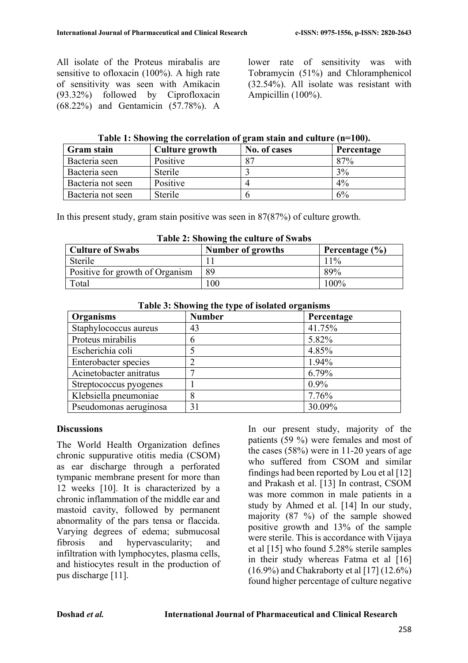All isolate of the Proteus mirabalis are sensitive to ofloxacin (100%). A high rate of sensitivity was seen with Amikacin (93.32%) followed by Ciprofloxacin (68.22%) and Gentamicin (57.78%). A

lower rate of sensitivity was with Tobramycin (51%) and Chloramphenicol (32.54%). All isolate was resistant with Ampicillin (100%).

|  | Table 1: Showing the correlation of gram stain and culture (n=100). |  |  |
|--|---------------------------------------------------------------------|--|--|
|  |                                                                     |  |  |

| <b>Gram stain</b> | Culture growth | No. of cases   | Percentage |
|-------------------|----------------|----------------|------------|
| Bacteria seen     | Positive       | 8 <sup>7</sup> | 87%        |
| Bacteria seen     | <b>Sterile</b> |                | 3%         |
| Bacteria not seen | Positive       |                | $4\%$      |
| Bacteria not seen | <b>Sterile</b> |                | 6%         |

In this present study, gram stain positive was seen in 87(87%) of culture growth.

| Table 2. Showing the culture of Swabs |                   |                    |  |  |
|---------------------------------------|-------------------|--------------------|--|--|
| <b>Culture of Swabs</b>               | Number of growths | Percentage $(\% )$ |  |  |
| Sterile                               |                   | 11%                |  |  |
| Positive for growth of Organism       | 89                | 89%                |  |  |
| Total                                 | 100               | $100\%$            |  |  |

**Table 2: Showing the culture of Swabs**

| Organisms               | <b>Number</b> | Percentage |  |  |
|-------------------------|---------------|------------|--|--|
| Staphylococcus aureus   | 43            | 41.75%     |  |  |
| Proteus mirabilis       |               | 5.82%      |  |  |
| Escherichia coli        |               | 4.85%      |  |  |
| Enterobacter species    |               | 1.94%      |  |  |
| Acinetobacter anitratus |               | 6.79%      |  |  |
| Streptococcus pyogenes  |               | $0.9\%$    |  |  |
| Klebsiella pneumoniae   |               | 7.76%      |  |  |
| Pseudomonas aeruginosa  | 31            | 30.09%     |  |  |

|  |  | Table 3: Showing the type of isolated organisms |  |  |  |  |
|--|--|-------------------------------------------------|--|--|--|--|
|--|--|-------------------------------------------------|--|--|--|--|

# **Discussions**

The World Health Organization defines chronic suppurative otitis media (CSOM) as ear discharge through a perforated tympanic membrane present for more than 12 weeks [10]. It is characterized by a chronic inflammation of the middle ear and mastoid cavity, followed by permanent abnormality of the pars tensa or flaccida. Varying degrees of edema; submucosal fibrosis and hypervascularity; and infiltration with lymphocytes, plasma cells, and histiocytes result in the production of pus discharge [11].

In our present study, majority of the patients (59 %) were females and most of the cases (58%) were in 11-20 years of age who suffered from CSOM and similar findings had been reported by Lou et al [12] and Prakash et al. [13] In contrast, CSOM was more common in male patients in a study by Ahmed et al. [14] In our study, majority (87 %) of the sample showed positive growth and 13% of the sample were sterile. This is accordance with Vijaya et al [15] who found 5.28% sterile samples in their study whereas Fatma et al [16]  $(16.9\%)$  and Chakraborty et al [17]  $(12.6\%)$ found higher percentage of culture negative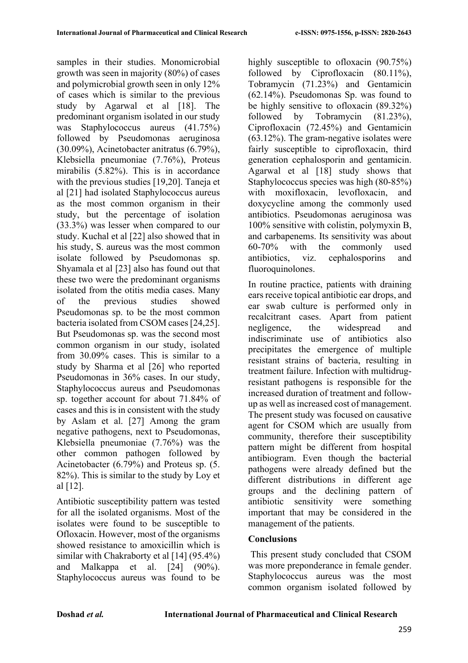samples in their studies. Monomicrobial growth was seen in majority (80%) of cases and polymicrobial growth seen in only 12% of cases which is similar to the previous study by Agarwal et al [18]. The predominant organism isolated in our study was Staphylococcus aureus (41.75%) followed by Pseudomonas aeruginosa (30.09%), Acinetobacter anitratus (6.79%), Klebsiella pneumoniae (7.76%), Proteus mirabilis (5.82%). This is in accordance with the previous studies [19,20]. Taneja et al [21] had isolated Staphylococcus aureus as the most common organism in their study, but the percentage of isolation (33.3%) was lesser when compared to our study. Kuchal et al [22] also showed that in his study, S. aureus was the most common isolate followed by Pseudomonas sp. Shyamala et al [23] also has found out that these two were the predominant organisms isolated from the otitis media cases. Many of the previous studies showed Pseudomonas sp. to be the most common bacteria isolated from CSOM cases [24,25]. But Pseudomonas sp. was the second most common organism in our study, isolated from 30.09% cases. This is similar to a study by Sharma et al [26] who reported Pseudomonas in 36% cases. In our study, Staphylococcus aureus and Pseudomonas sp. together account for about 71.84% of cases and this is in consistent with the study by Aslam et al. [27] Among the gram negative pathogens, next to Pseudomonas, Klebsiella pneumoniae (7.76%) was the other common pathogen followed by Acinetobacter (6.79%) and Proteus sp. (5. 82%). This is similar to the study by Loy et al [12].

Antibiotic susceptibility pattern was tested for all the isolated organisms. Most of the isolates were found to be susceptible to Ofloxacin. However, most of the organisms showed resistance to amoxicillin which is similar with Chakraborty et al [14] (95.4%) and Malkappa et al. [24] (90%). Staphylococcus aureus was found to be highly susceptible to ofloxacin (90.75%) followed by Ciprofloxacin (80.11%), Tobramycin (71.23%) and Gentamicin (62.14%). Pseudomonas Sp. was found to be highly sensitive to ofloxacin (89.32%) followed by Tobramycin (81.23%), Ciprofloxacin (72.45%) and Gentamicin (63.12%). The gram-negative isolates were fairly susceptible to ciprofloxacin, third generation cephalosporin and gentamicin. Agarwal et al [18] study shows that Staphylococcus species was high (80-85%) with moxifloxacin, levofloxacin, and doxycycline among the commonly used antibiotics. Pseudomonas aeruginosa was 100% sensitive with colistin, polymyxin B, and carbapenems. Its sensitivity was about 60-70% with the commonly used antibiotics, viz. cephalosporins and fluoroquinolones.

In routine practice, patients with draining ears receive topical antibiotic ear drops, and ear swab culture is performed only in recalcitrant cases. Apart from patient negligence, the widespread and indiscriminate use of antibiotics also precipitates the emergence of multiple resistant strains of bacteria, resulting in treatment failure. Infection with multidrugresistant pathogens is responsible for the increased duration of treatment and followup as well as increased cost of management. The present study was focused on causative agent for CSOM which are usually from community, therefore their susceptibility pattern might be different from hospital antibiogram. Even though the bacterial pathogens were already defined but the different distributions in different age groups and the declining pattern of antibiotic sensitivity were something important that may be considered in the management of the patients.

# **Conclusions**

This present study concluded that CSOM was more preponderance in female gender. Staphylococcus aureus was the most common organism isolated followed by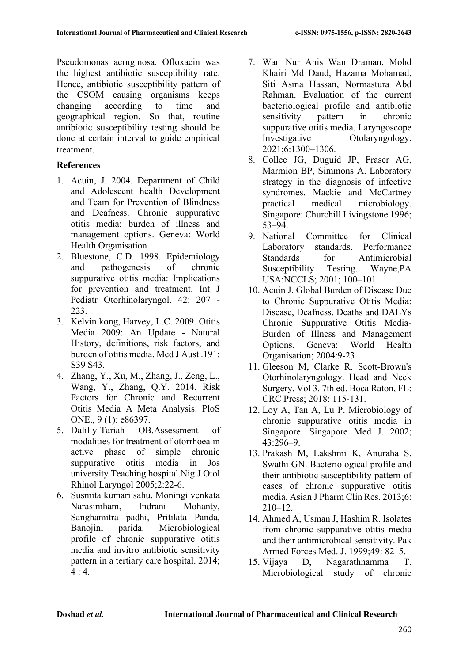Pseudomonas aeruginosa. Ofloxacin was the highest antibiotic susceptibility rate. Hence, antibiotic susceptibility pattern of the CSOM causing organisms keeps changing according to time and geographical region. So that, routine antibiotic susceptibility testing should be done at certain interval to guide empirical treatment.

# **References**

- 1. Acuin, J. 2004. Department of Child and Adolescent health Development and Team for Prevention of Blindness and Deafness. Chronic suppurative otitis media: burden of illness and management options. Geneva: World Health Organisation.
- 2. Bluestone, C.D. 1998. Epidemiology and pathogenesis of chronic suppurative otitis media: Implications for prevention and treatment. Int J Pediatr Otorhinolaryngol. 42: 207 - 223.
- 3. Kelvin kong, Harvey, L.C. 2009. Otitis Media 2009: An Update - Natural History, definitions, risk factors, and burden of otitis media. Med I Aust 191: S39 S43.
- 4. Zhang, Y., Xu, M., Zhang, J., Zeng, L., Wang, Y., Zhang, Q.Y. 2014. Risk Factors for Chronic and Recurrent Otitis Media A Meta Analysis. PloS ONE., 9 (1): e86397.
- 5. Dalilly-Tariah OB.Assessment of modalities for treatment of otorrhoea in active phase of simple chronic suppurative otitis media in Jos university Teaching hospital.Nig J Otol Rhinol Laryngol 2005;2:22-6.
- 6. Susmita kumari sahu, Moningi venkata Narasimham, Indrani Mohanty, Sanghamitra padhi, Pritilata Panda, Banojini parida. Microbiological profile of chronic suppurative otitis media and invitro antibiotic sensitivity pattern in a tertiary care hospital. 2014;  $4:4.$
- 7. Wan Nur Anis Wan Draman, Mohd Khairi Md Daud, Hazama Mohamad, Siti Asma Hassan, Normastura Abd Rahman. Evaluation of the current bacteriological profile and antibiotic sensitivity pattern in chronic suppurative otitis media. Laryngoscope Investigative Otolaryngology. 2021;6:1300–1306.
- 8. Collee JG, Duguid JP, Fraser AG, Marmion BP, Simmons A. Laboratory strategy in the diagnosis of infective syndromes. Mackie and McCartney practical medical microbiology. Singapore: Churchill Livingstone 1996; 53–94.
- 9. National Committee for Clinical Laboratory standards. Performance Standards for Antimicrobial Susceptibility Testing. Wayne,PA USA:NCCLS; 2001; 100–101.
- 10. Acuin J. Global Burden of Disease Due to Chronic Suppurative Otitis Media: Disease, Deafness, Deaths and DALYs Chronic Suppurative Otitis Media-Burden of Illness and Management Options. Geneva: World Health Organisation; 2004:9-23.
- 11. Gleeson M, Clarke R. Scott-Brown's Otorhinolaryngology. Head and Neck Surgery. Vol 3. 7th ed. Boca Raton, FL: CRC Press; 2018: 115-131.
- 12. Loy A, Tan A, Lu P. Microbiology of chronic suppurative otitis media in Singapore. Singapore Med J. 2002; 43:296–9.
- 13. Prakash M, Lakshmi K, Anuraha S, Swathi GN. Bacteriological profile and their antibiotic susceptibility pattern of cases of chronic suppurative otitis media. Asian J Pharm Clin Res. 2013;6:  $210-12.$
- 14. Ahmed A, Usman J, Hashim R. Isolates from chronic suppurative otitis media and their antimicrobical sensitivity. Pak Armed Forces Med. J. 1999;49: 82–5.
- 15. Vijaya D, Nagarathnamma T. Microbiological study of chronic